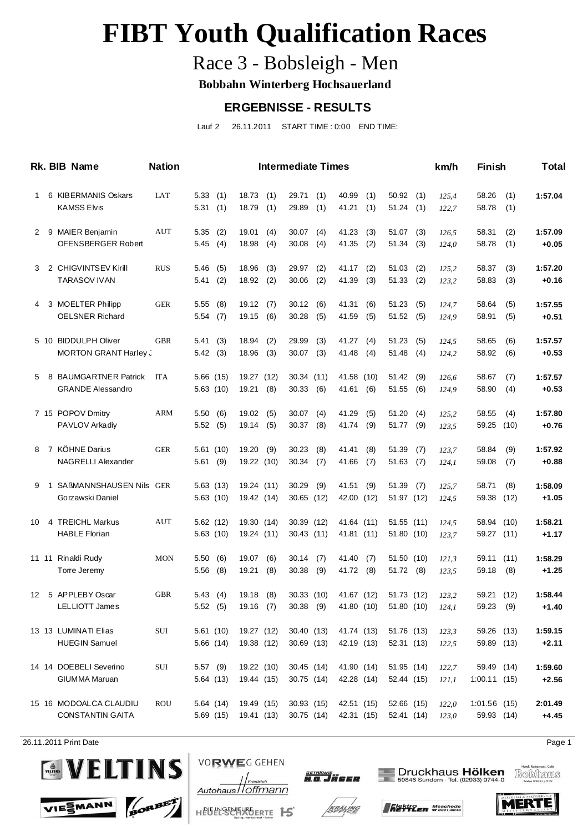## Race 3 - Bobsleigh - Men

**Bobbahn Winterberg Hochsauerland**

#### **ERGEBNISSE - RESULTS**

Lauf 2 26.11.2011 START TIME : 0:00 END TIME:

|              |   | Rk. BIB Name                                        | <b>Nation</b> |                        |            |                          |             | <b>Intermediate Times</b> |            |                          |            |                          |            | km/h           | <b>Finish</b>                |             | Total              |
|--------------|---|-----------------------------------------------------|---------------|------------------------|------------|--------------------------|-------------|---------------------------|------------|--------------------------|------------|--------------------------|------------|----------------|------------------------------|-------------|--------------------|
| $\mathbf{1}$ |   | 6 KIBERMANIS Oskars<br><b>KAMSS Elvis</b>           | LAT           | 5.33(1)<br>5.31(1)     |            | 18.73<br>18.79           | (1)<br>(1)  | 29.71<br>29.89            | (1)<br>(1) | 40.99<br>41.21           | (1)<br>(1) | 50.92<br>51.24           | (1)<br>(1) | 125,4<br>122,7 | 58.26<br>58.78               | (1)<br>(1)  | 1:57.04            |
| 2            |   | 9 MAIER Benjamin<br>OFENSBERGER Robert              | AUT           | 5.35<br>5.45(4)        | (2)        | 19.01<br>18.98           | (4)<br>(4)  | 30.07<br>30.08            | (4)<br>(4) | 41.23<br>41.35           | (3)<br>(2) | 51.07<br>51.34           | (3)<br>(3) | 126,5<br>124,0 | 58.31<br>58.78               | (2)<br>(1)  | 1:57.09<br>$+0.05$ |
| 3            |   | 2 CHIGVINTSEV Kirill<br><b>TARASOV IVAN</b>         | <b>RUS</b>    | 5.46<br>5.41           | (5)<br>(2) | 18.96<br>18.92           | (3)<br>(2)  | 29.97<br>30.06            | (2)<br>(2) | 41.17<br>41.39           | (2)<br>(3) | 51.03<br>51.33           | (2)<br>(2) | 125,2<br>123,2 | 58.37<br>58.83               | (3)<br>(3)  | 1:57.20<br>$+0.16$ |
| 4            |   | 3 MOELTER Philipp<br><b>OELSNER Richard</b>         | <b>GER</b>    | 5.55<br>5.54           | (8)<br>(7) | 19.12<br>19.15           | (7)<br>(6)  | 30.12<br>30.28            | (6)<br>(5) | 41.31<br>41.59           | (6)<br>(5) | 51.23<br>51.52           | (5)<br>(5) | 124,7<br>124,9 | 58.64<br>58.91               | (5)<br>(5)  | 1:57.55<br>$+0.51$ |
|              |   | 5 10 BIDDULPH Oliver<br><b>MORTON GRANT Harley.</b> | <b>GBR</b>    | 5.41<br>5.42(3)        | (3)        | 18.94<br>18.96           | (2)<br>(3)  | 29.99<br>30.07            | (3)<br>(3) | 41.27<br>41.48           | (4)<br>(4) | 51.23<br>51.48           | (5)<br>(4) | 124,5<br>124,2 | 58.65<br>58.92               | (6)<br>(6)  | 1:57.57<br>$+0.53$ |
| 5            |   | 8 BAUMGARTNER Patrick<br><b>GRANDE Alessandro</b>   | <b>ITA</b>    | 5.66(15)<br>5.63(10)   |            | 19.27<br>19.21           | (12)<br>(8) | 30.34(11)<br>30.33(6)     |            | 41.58 (10)<br>41.61      | (6)        | 51.42<br>51.55           | (9)<br>(6) | 126,6<br>124,9 | 58.67<br>58.90               | (7)<br>(4)  | 1:57.57<br>$+0.53$ |
|              |   | 7 15 POPOV Dmitry<br>PAVLOV Arkadiy                 | <b>ARM</b>    | 5.50<br>5.52(5)        | (6)        | 19.02<br>19.14           | (5)<br>(5)  | 30.07<br>30.37            | (4)<br>(8) | 41.29<br>41.74           | (5)<br>(9) | 51.20<br>51.77           | (4)<br>(9) | 125,2<br>123,5 | 58.55<br>59.25               | (4)<br>(10) | 1:57.80<br>$+0.76$ |
| 8            |   | 7 KÖHNE Darius<br><b>NAGRELLI Alexander</b>         | <b>GER</b>    | 5.61(10)<br>5.61(9)    |            | 19.20<br>19.22 (10)      | (9)         | 30.23<br>30.34            | (8)<br>(7) | 41.41<br>41.66           | (8)<br>(7) | 51.39<br>51.63           | (7)<br>(7) | 123,7<br>124,1 | 58.84<br>59.08               | (9)<br>(7)  | 1:57.92<br>$+0.88$ |
| 9            | 1 | SAßMANNSHAUSEN Nils GER<br>Gorzawski Daniel         |               | 5.63(13)<br>5.63(10)   |            | 19.24 (11)<br>19.42 (14) |             | 30.29<br>30.65 (12)       | (9)        | 41.51<br>42.00 (12)      | (9)        | 51.39<br>51.97 (12)      | (7)        | 125,7<br>124,5 | 58.71<br>59.38               | (8)<br>(12) | 1:58.09<br>$+1.05$ |
| 10           |   | 4 TREICHL Markus<br><b>HABLE Florian</b>            | AUT           | 5.62(12)<br>5.63(10)   |            | 19.30 (14)<br>19.24 (11) |             | 30.39 (12)<br>30.43 (11)  |            | 41.64 (11)<br>41.81 (11) |            | 51.55 (11)<br>51.80 (10) |            | 124,5<br>123,7 | 58.94 (10)<br>59.27 (11)     |             | 1:58.21<br>$+1.17$ |
|              |   | 11 11 Rinaldi Rudy<br>Torre Jeremy                  | <b>MON</b>    | 5.50(6)<br>5.56        | (8)        | 19.07<br>19.21           | (6)<br>(8)  | 30.14<br>30.38            | (7)<br>(9) | 41.40<br>41.72           | (7)<br>(8) | 51.50 (10)<br>51.72(8)   |            | 121,3<br>123,5 | 59.11<br>59.18               | (11)<br>(8) | 1:58.29<br>$+1.25$ |
|              |   | 12 5 APPLEBY Oscar<br>LELLIOTT James                | <b>GBR</b>    | 5.43(4)<br>5.52(5)     |            | 19.18<br>19.16 (7)       | (8)         | 30.33(10)<br>$30.38$ (9)  |            | 41.67 (12)<br>41.80 (10) |            | 51.73 (12)<br>51.80 (10) |            | 123,2<br>124,1 | 59.21<br>59.23 (9)           | (12)        | 1:58.44<br>$+1.40$ |
|              |   | 13 13 LUMINATI Elias<br><b>HUEGIN Samuel</b>        | $\rm SUI$     | 5.61(10)<br>5.66(14)   |            | 19.27 (12)<br>19.38 (12) |             | 30.40 (13)<br>30.69(13)   |            | 41.74 (13)<br>42.19 (13) |            | 51.76 (13)<br>52.31 (13) |            | 123,3<br>122,5 | 59.26 (13)<br>59.89 (13)     |             | 1:59.15<br>$+2.11$ |
|              |   | 14 14 DOEBELI Severino<br><b>GIUMMA Maruan</b>      | SUI           | $5.57$ (9)<br>5.64(13) |            | 19.22 (10)<br>19.44 (15) |             | 30.45 (14)<br>30.75 (14)  |            | 41.90 (14)<br>42.28 (14) |            | 51.95 (14)<br>52.44 (15) |            | 122,7<br>121,1 | 59.49 (14)<br>1:00.11(15)    |             | 1:59.60<br>$+2.56$ |
|              |   | 15 16 MODOALCA CLAUDIU<br><b>CONSTANTIN GAITA</b>   | ROU           | 5.64(14)<br>5.69(15)   |            | 19.49 (15)<br>19.41 (13) |             | 30.93(15)<br>30.75 (14)   |            | 42.51 (15)<br>42.31 (15) |            | 52.66 (15)<br>52.41 (14) |            | 122,0<br>123,0 | $1:01.56$ (15)<br>59.93 (14) |             | 2:01.49<br>$+4.45$ |

26.11.2011 Print Date Page 1







Druckhaus Hölken<br>59846 Sundern · Tel. (02933) 9744-0









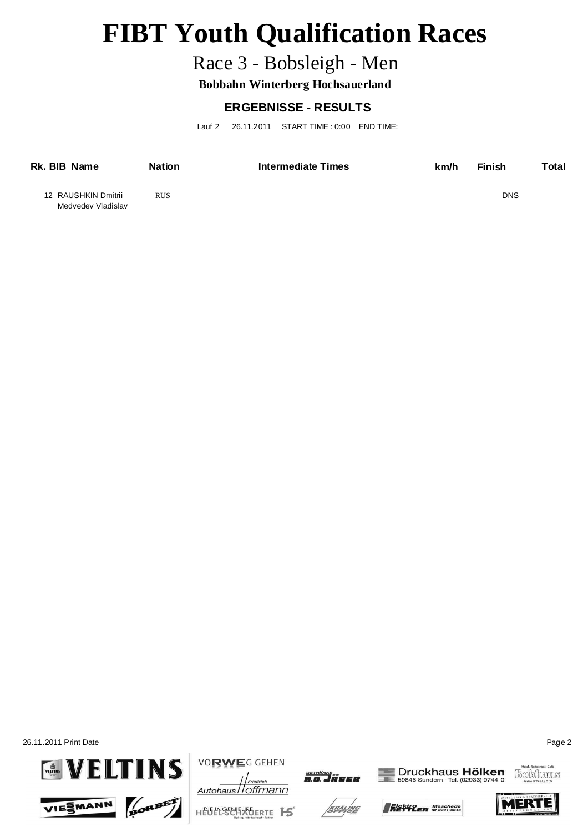## Race 3 - Bobsleigh - Men

**Bobbahn Winterberg Hochsauerland**

### **ERGEBNISSE - RESULTS**

Lauf 2 26.11.2011 START TIME : 0:00 END TIME:

| Rk. BIB Name                              | <b>Nation</b> | Intermediate Times | km/h | <b>Finish</b> | Total |
|-------------------------------------------|---------------|--------------------|------|---------------|-------|
| 12 RAUSHKIN Dmitrii<br>Medvedev Vladislav | <b>RUS</b>    |                    |      | <b>DNS</b>    |       |

26.11.2011 Print Date Page 2









**VORWEG GEHEN** 



**SETRÄNKE**<br>H O Jøeee







Druckhaus Hölken<br>59846 Sundern · Tel. (02933) 9744-0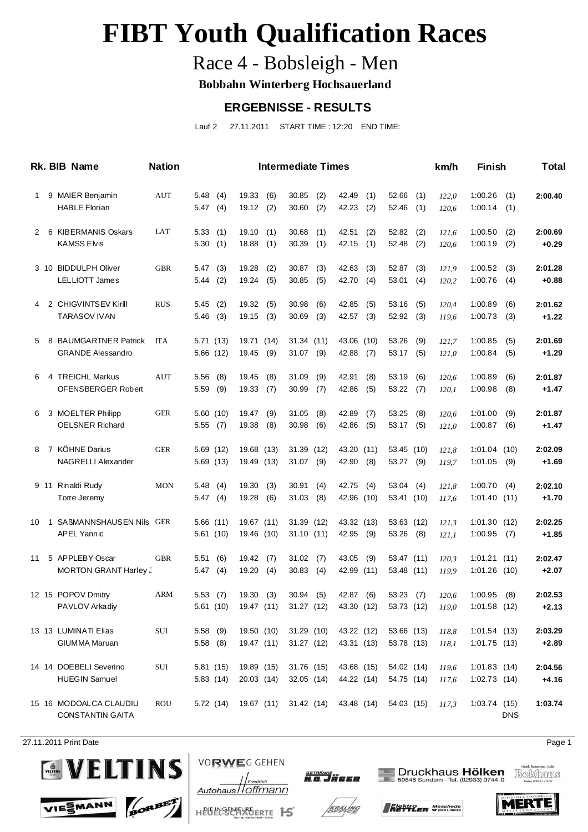## Race 4 - Bobsleigh - Men

**Bobbahn Winterberg Hochsauerland**

#### **ERGEBNISSE - RESULTS**

Lauf 2 27.11.2011 START TIME : 12:20 END TIME:

|    | Rk. BIB Name                                      | <b>Nation</b> |                            |                          |             | <b>Intermediate Times</b> |            |                          |            |                          |            | km/h           | <b>Finish</b>                    |            | <b>Total</b>       |
|----|---------------------------------------------------|---------------|----------------------------|--------------------------|-------------|---------------------------|------------|--------------------------|------------|--------------------------|------------|----------------|----------------------------------|------------|--------------------|
| 1  | 9 MAIER Benjamin<br><b>HABLE Florian</b>          | AUT           | 5.48<br>(4)<br>5.47(4)     | 19.33<br>19.12           | (6)<br>(2)  | 30.85<br>30.60            | (2)<br>(2) | 42.49<br>42.23           | (1)<br>(2) | 52.66<br>52.46           | (1)<br>(1) | 122,0<br>120,6 | 1:00.26<br>1:00.14               | (1)<br>(1) | 2:00.40            |
| 2  | 6 KIBERMANIS Oskars<br><b>KAMSS Elvis</b>         | LAT           | 5.33(1)<br>5.30(1)         | 19.10<br>18.88           | (1)<br>(1)  | 30.68<br>30.39            | (1)<br>(1) | 42.51<br>42.15           | (2)<br>(1) | 52.82<br>52.48           | (2)<br>(2) | 121,6<br>120,6 | 1:00.50<br>1:00.19               | (2)<br>(2) | 2:00.69<br>$+0.29$ |
|    | 3 10 BIDDULPH Oliver<br><b>LELLIOTT James</b>     | <b>GBR</b>    | 5.47(3)<br>5.44(2)         | 19.28<br>19.24           | (2)<br>(5)  | 30.87<br>30.85            | (3)<br>(5) | 42.63<br>42.70           | (3)<br>(4) | 52.87<br>53.01           | (3)<br>(4) | 121,9<br>120,2 | 1:00.52<br>1:00.76               | (3)<br>(4) | 2:01.28<br>$+0.88$ |
| 4  | 2 CHIGVINTSEV Kirill<br><b>TARASOV IVAN</b>       | <b>RUS</b>    | 5.45<br>(2)<br>5.46<br>(3) | 19.32<br>19.15           | (5)<br>(3)  | 30.98<br>30.69            | (6)<br>(3) | 42.85<br>42.57           | (5)<br>(3) | 53.16<br>52.92           | (5)<br>(3) | 120,4<br>119,6 | 1:00.89<br>1:00.73               | (6)<br>(3) | 2:01.62<br>$+1.22$ |
| 5  | 8 BAUMGARTNER Patrick<br><b>GRANDE Alessandro</b> | <b>ITA</b>    | 5.71(13)<br>5.66(12)       | 19.71<br>19.45           | (14)<br>(9) | 31.34 (11)<br>$31.07$ (9) |            | 43.06 (10)<br>42.88      | (7)        | 53.26<br>53.17           | (9)<br>(5) | 121,7<br>121,0 | 1:00.85<br>1:00.84               | (5)<br>(5) | 2:01.69<br>$+1.29$ |
| 6  | 4 TREICHL Markus<br>OFENSBERGER Robert            | AUT           | 5.56<br>(8)<br>5.59<br>(9) | 19.45<br>19.33           | (8)<br>(7)  | 31.09<br>30.99            | (9)<br>(7) | 42.91<br>42.86           | (8)<br>(5) | 53.19<br>53.22           | (6)<br>(7) | 120,6<br>120,1 | 1:00.89<br>1:00.98               | (6)<br>(8) | 2:01.87<br>$+1.47$ |
| 6  | 3 MOELTER Philipp<br><b>OELSNER Richard</b>       | <b>GER</b>    | 5.60(10)<br>5.55(7)        | 19.47<br>19.38           | (9)<br>(8)  | 31.05<br>30.98            | (8)<br>(6) | 42.89<br>42.86           | (7)<br>(5) | 53.25<br>$53.17$ (5)     | (8)        | 120,6<br>121,0 | 1:01.00<br>1:00.87               | (9)<br>(6) | 2:01.87<br>$+1.47$ |
| 8  | 7 KÖHNE Darius<br><b>NAGRELLI Alexander</b>       | <b>GER</b>    | 5.69(12)<br>5.69(13)       | 19.68 (13)<br>19.49 (13) |             | 31.39 (12)<br>$31.07$ (9) |            | 43.20 (11)<br>42.90      | (8)        | 53.45 (10)<br>53.27 (9)  |            | 121,8<br>119,7 | 1:01.04(10)<br>1:01.05           | (9)        | 2:02.09<br>$+1.69$ |
|    | 9 11 Rinaldi Rudy<br>Torre Jeremy                 | <b>MON</b>    | 5.48<br>(4)<br>5.47(4)     | 19.30<br>19.28           | (3)<br>(6)  | 30.91<br>31.03            | (4)<br>(8) | 42.75<br>42.96 (10)      | (4)        | 53.04<br>53.41 (10)      | (4)        | 121,8<br>117,6 | 1:00.70<br>1:01.40(11)           | (4)        | 2:02.10<br>$+1.70$ |
| 10 | 1 SAßMANNSHAUSEN Nils GER<br><b>APEL Yannic</b>   |               | 5.66(11)<br>5.61(10)       | 19.67 (11)<br>19.46 (10) |             | 31.39 (12)<br>31.10(11)   |            | 43.32 (13)<br>42.95      | (9)        | 53.63 (12)<br>53.26      | (8)        | 121,3<br>121,1 | 1:01.30(12)<br>1:00.95           | (7)        | 2:02.25<br>$+1.85$ |
| 11 | 5 APPLEBY Oscar<br>MORTON GRANT Harley.           | <b>GBR</b>    | 5.51(6)<br>5.47(4)         | 19.42<br>19.20           | (7)<br>(4)  | 31.02<br>30.83            | (7)<br>(4) | 43.05<br>42.99 (11)      | (9)        | 53.47 (11)<br>53.48 (11) |            | 120,3<br>119,9 | $1:01.21$ (11)<br>$1:01.26$ (10) |            | 2:02.47<br>$+2.07$ |
|    | 12 15 POPOV Dmitry<br>PAVLOV Arkadiy              | ARM           | 5.53(7)<br>5.61(10)        | 19.30<br>19.47 (11)      | (3)         | 30.94<br>31.27 (12)       | (5)        | 42.87<br>43.30 (12)      | (6)        | 53.23<br>53.73 (12)      | (7)        | 120,6<br>119,0 | 1:00.95<br>$1:01.58$ (12)        | (8)        | 2:02.53<br>$+2.13$ |
|    | 13 13 LUMINATI Elias<br><b>GIUMMA Maruan</b>      | SUI           | 5.58 (9)<br>$5.58$ (8)     | 19.50 (10)<br>19.47 (11) |             | 31.29 (10)<br>31.27 (12)  |            | 43.22 (12)<br>43.31 (13) |            | 53.66 (13)<br>53.78 (13) |            | 118,8<br>118,1 | 1:01.54(13)<br>1:01.75(13)       |            | 2:03.29<br>$+2.89$ |
|    | 14 14 DOEBELI Severino<br><b>HUEGIN Samuel</b>    | SUI           | 5.81(15)<br>5.83(14)       | 19.89 (15)<br>20.03(14)  |             | 31.76 (15)<br>32.05(14)   |            | 43.68 (15)<br>44.22 (14) |            | 54.02 (14)<br>54.75 (14) |            | 119,6<br>117,6 | 1:01.83(14)<br>1:02.73(14)       |            | 2:04.56<br>$+4.16$ |
|    | 15 16 MODOALCA CLAUDIU<br><b>CONSTANTIN GAITA</b> | ROU           | 5.72(14)                   | 19.67 (11)               |             | 31.42 (14)                |            | 43.48 (14)               |            | 54.03 (15)               |            | 117,3          | 1:03.74(15)                      | <b>DNS</b> | 1:03.74            |

27.11.2011 Print Date Page 1







Druckhaus Hölken<br>59846 Sundern · Tel. (02933) 9744-0

Bobhaus



HEUELSEE 15





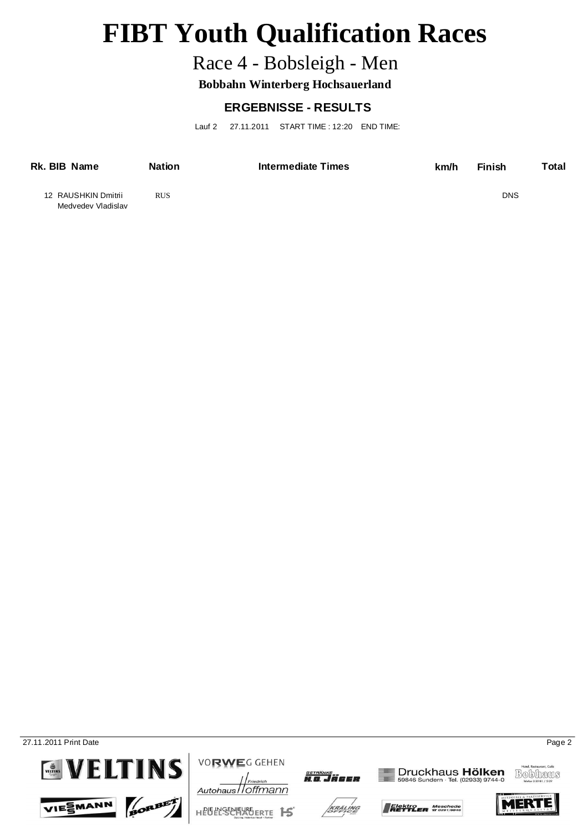## Race 4 - Bobsleigh - Men

**Bobbahn Winterberg Hochsauerland**

### **ERGEBNISSE - RESULTS**

Lauf 2 27.11.2011 START TIME : 12:20 END TIME:

| Rk. BIB Name                              | <b>Nation</b> | Intermediate Times | km/h | <b>Finish</b> | Total |
|-------------------------------------------|---------------|--------------------|------|---------------|-------|
| 12 RAUSHKIN Dmitrii<br>Medvedev Vladislav | <b>RUS</b>    |                    |      | <b>DNS</b>    |       |

**27.11.2011 Print Date** Page 2









**VORWEG GEHEN** 



KRÄLING





Elektro<br>**RETTLER SO291/6846** 





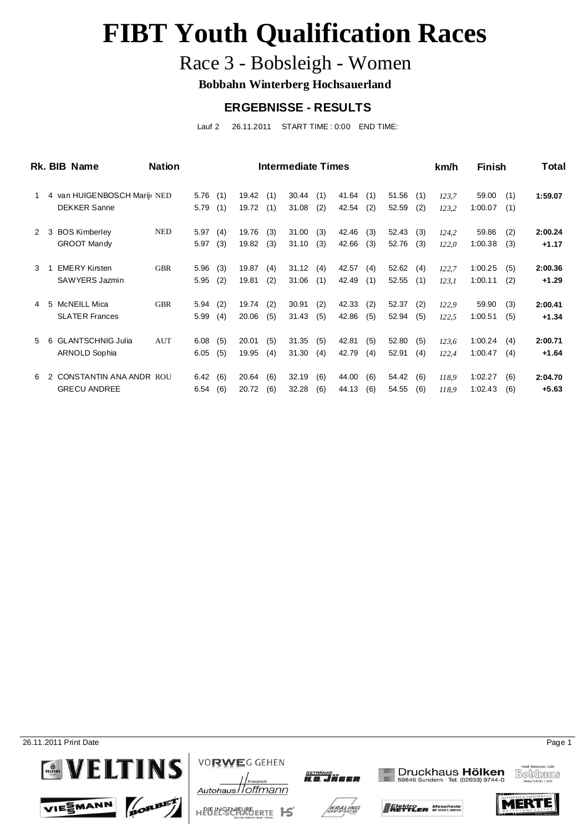## Race 3 - Bobsleigh - Women

**Bobbahn Winterberg Hochsauerland**

#### **ERGEBNISSE - RESULTS**

Lauf 2 26.11.2011 START TIME : 0:00 END TIME:

|   |   | Rk. BIB Name                | <b>Nation</b> |      |     |       |     | Intermediate Times |     |       |     |       |     | km/h  | Finish  |     | <b>Total</b> |
|---|---|-----------------------------|---------------|------|-----|-------|-----|--------------------|-----|-------|-----|-------|-----|-------|---------|-----|--------------|
|   |   | 4 van HUIGENBOSCH Marij NED |               | 5.76 | (1) | 19.42 | (1) | 30.44              | (1) | 41.64 | (1) | 51.56 | (1) | 123,7 | 59.00   | (1) | 1:59.07      |
|   |   | <b>DEKKER Sanne</b>         |               | 5.79 | (1) | 19.72 | (1) | 31.08              | (2) | 42.54 | (2) | 52.59 | (2) | 123,2 | 1:00.07 | (1) |              |
| 2 | 3 | <b>BOS Kimberley</b>        | <b>NED</b>    | 5.97 | (4) | 19.76 | (3) | 31.00              | (3) | 42.46 | (3) | 52.43 | (3) | 124,2 | 59.86   | (2) | 2:00.24      |
|   |   | <b>GROOT Mandy</b>          |               | 5.97 | (3) | 19.82 | (3) | 31.10              | (3) | 42.66 | (3) | 52.76 | (3) | 122,0 | 1:00.38 | (3) | $+1.17$      |
| 3 |   | <b>EMERY Kirsten</b>        | <b>GBR</b>    | 5.96 | (3) | 19.87 | (4) | 31.12              | (4) | 42.57 | (4) | 52.62 | (4) | 122,7 | 1:00.25 | (5) | 2:00.36      |
|   |   | SAWYERS Jazmin              |               | 5.95 | (2) | 19.81 | (2) | 31.06              | (1) | 42.49 | (1) | 52.55 | (1) | 123,1 | 1:00.11 | (2) | $+1.29$      |
| 4 |   | 5 McNEILL Mica              | <b>GBR</b>    | 5.94 | (2) | 19.74 | (2) | 30.91              | (2) | 42.33 | (2) | 52.37 | (2) | 122,9 | 59.90   | (3) | 2:00.41      |
|   |   | <b>SLATER Frances</b>       |               | 5.99 | (4) | 20.06 | (5) | 31.43              | (5) | 42.86 | (5) | 52.94 | (5) | 122,5 | 1:00.51 | (5) | $+1.34$      |
| 5 | 6 | <b>GLANTSCHNIG Julia</b>    | AUT           | 6.08 | (5) | 20.01 | (5) | 31.35              | (5) | 42.81 | (5) | 52.80 | (5) | 123,6 | 1:00.24 | (4) | 2:00.71      |
|   |   | ARNOLD Sophia               |               | 6.05 | (5) | 19.95 | (4) | 31.30              | (4) | 42.79 | (4) | 52.91 | (4) | 122,4 | 1:00.47 | (4) | $+1.64$      |
| 6 |   | CONSTANTIN ANA ANDR ROU     |               | 6.42 | (6) | 20.64 | (6) | 32.19              | (6) | 44.00 | (6) | 54.42 | (6) | 118.9 | 1:02.27 | (6) | 2:04.70      |
|   |   | <b>GRECU ANDREE</b>         |               | 6.54 | (6) | 20.72 | (6) | 32.28              | (6) | 44.13 | (6) | 54.55 | (6) | 118,9 | 1:02.43 | (6) | $+5.63$      |

26.11.2011 Print Date Page 1



VIESMANN







KRÄLING







Elektro<br>**RETTLER SO291/6846** 

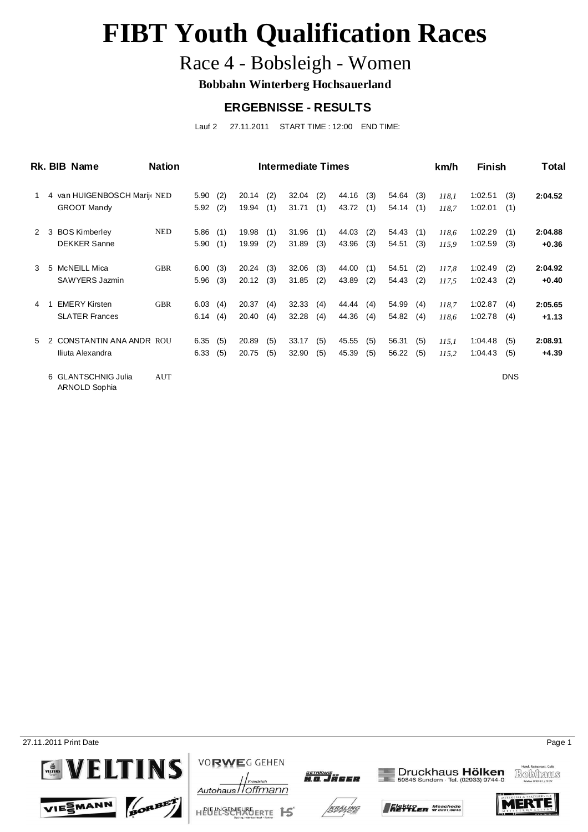## Race 4 - Bobsleigh - Women

**Bobbahn Winterberg Hochsauerland**

### **ERGEBNISSE - RESULTS**

Lauf 2 27.11.2011 START TIME : 12:00 END TIME:

|               |    | Rk. BIB Name                         | <b>Nation</b> |      |     |       |     | Intermediate Times |     |       |     |       |     | km/h  | <b>Finish</b> |            | Total   |
|---------------|----|--------------------------------------|---------------|------|-----|-------|-----|--------------------|-----|-------|-----|-------|-----|-------|---------------|------------|---------|
|               |    | 4 van HUIGENBOSCH Marije NED         |               | 5.90 | (2) | 20.14 | (2) | 32.04              | (2) | 44.16 | (3) | 54.64 | (3) | 118,1 | 1:02.51       | (3)        | 2:04.52 |
|               |    | <b>GROOT Mandy</b>                   |               | 5.92 | (2) | 19.94 | (1) | 31.71              | (1) | 43.72 | (1) | 54.14 | (1) | 118.7 | 1:02.01       | (1)        |         |
| 2             | 3  | <b>BOS Kimberley</b>                 | <b>NED</b>    | 5.86 | (1) | 19.98 | (1) | 31.96              | (1) | 44.03 | (2) | 54.43 | (1) | 118.6 | 1:02.29       | (1)        | 2:04.88 |
|               |    | <b>DEKKER Sanne</b>                  |               | 5.90 | (1) | 19.99 | (2) | 31.89              | (3) | 43.96 | (3) | 54.51 | (3) | 115,9 | 1:02.59       | (3)        | $+0.36$ |
| $\mathcal{E}$ | -5 | McNEILL Mica                         | GBR           | 6.00 | (3) | 20.24 | (3) | 32.06              | (3) | 44.00 | (1) | 54.51 | (2) | 117,8 | 1:02.49       | (2)        | 2:04.92 |
|               |    | SAWYERS Jazmin                       |               | 5.96 | (3) | 20.12 | (3) | 31.85              | (2) | 43.89 | (2) | 54.43 | (2) | 117.5 | 1:02.43       | (2)        | $+0.40$ |
| 4             |    | <b>EMERY Kirsten</b>                 | <b>GBR</b>    | 6.03 | (4) | 20.37 | (4) | 32.33              | (4) | 44.44 | (4) | 54.99 | (4) | 118.7 | 1:02.87       | (4)        | 2:05.65 |
|               |    | <b>SLATER Frances</b>                |               | 6.14 | (4) | 20.40 | (4) | 32.28              | (4) | 44.36 | (4) | 54.82 | (4) | 118,6 | 1:02.78       | (4)        | $+1.13$ |
| $5^{\circ}$   |    | <b>CONSTANTIN ANA ANDR ROU</b>       |               | 6.35 | (5) | 20.89 | (5) | 33.17              | (5) | 45.55 | (5) | 56.31 | (5) | 115.1 | 1:04.48       | (5)        | 2:08.91 |
|               |    | Iliuta Alexandra                     |               | 6.33 | (5) | 20.75 | (5) | 32.90              | (5) | 45.39 | (5) | 56.22 | (5) | 115,2 | 1:04.43       | (5)        | $+4.39$ |
|               |    | 6 GLANTSCHNIG Julia<br>ARNOLD Sophia | AUT           |      |     |       |     |                    |     |       |     |       |     |       |               | <b>DNS</b> |         |

27.11.2011 Print Date Page 1



VIESMANN







KRÄLING







Elektro<br>**RETTLER SO291/6846** 



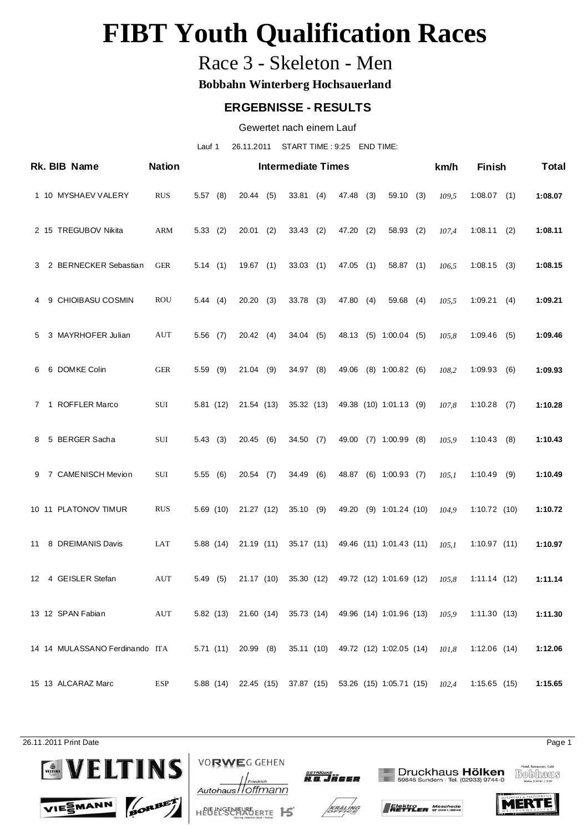### Race 3 - Skeleton - Men

**Bobbahn Winterberg Hochsauerland**

#### **ERGEBNISSE - RESULTS**

Gewertet nach einem Lauf

Lauf 1 26.11.2011 START TIME : 9:25 END TIME:

|   | Rk. BIB Name                   | <b>Nation</b> |            |                     |     | <b>Intermediate Times</b> |             |     |                                                                 | km/h                                                            | <b>Finish</b>  |     | <b>Total</b> |
|---|--------------------------------|---------------|------------|---------------------|-----|---------------------------|-------------|-----|-----------------------------------------------------------------|-----------------------------------------------------------------|----------------|-----|--------------|
|   | 1 10 MYSHAEV VALERY            | <b>RUS</b>    | $5.57$ (8) | 20.44(5)            |     | 33.81(4)                  | 47.48 (3)   |     | $59.10$ (3)                                                     | 109,5                                                           | $1:08.07$ (1)  |     | 1:08.07      |
|   | 2 15 TREGUBOV Nikita           | ARM           | 5.33(2)    | $20.01$ (2)         |     | $33.43$ (2)               | 47.20       | (2) | 58.93 (2)                                                       | 107,4                                                           | 1:08.11        | (2) | 1:08.11      |
|   | 3 2 BERNECKER Sebastian        | GER           | 5.14(1)    | $19.67$ (1)         |     | 33.03(1)                  | $47.05$ (1) |     | 58.87 (1)                                                       | 106,5                                                           | $1:08.15$ (3)  |     | 1:08.15      |
|   | 4 9 CHIOIBASU COSMIN           | ROU           | 5.44(4)    | 20.20(3)            |     | $33.78$ (3)               | 47.80 (4)   |     | $59.68$ (4)                                                     | 105,5                                                           | 1:09.21(4)     |     | 1:09.21      |
| 5 | 3 MAYRHOFER Julian             | AUT           | $5.56$ (7) | 20.42(4)            |     | $34.04$ (5)               |             |     | 48.13 (5) 1:00.04 (5)                                           | 105,8                                                           | 1:09.46        | (5) | 1:09.46      |
|   | 6 6 DOMKE Colin                | <b>GER</b>    | $5.59$ (9) | 21.04 (9)           |     | 34.97 (8)                 |             |     | 49.06 (8) 1:00.82 (6)                                           | 108,2                                                           | 1:09.93        | (6) | 1:09.93      |
|   | 7 1 ROFFLER Marco              | SUI           | 5.81 (12)  | 21.54 (13)          |     | 35.32 (13)                |             |     | 49.38 (10) 1:01.13 (9)                                          | 107,8                                                           | $1:10.28$ (7)  |     | 1:10.28      |
|   | 8 5 BERGER Sacha               | SUI           | 5.43(3)    | 20.45 (6)           |     | 34.50(7)                  |             |     | 49.00 (7) 1:00.99 (8)                                           | 105,9                                                           | 1:10.43        | (8) | 1:10.43      |
|   | 9 7 CAMENISCH Mevion           | SUI           | 5.55(6)    | 20.54               | (7) | 34.49 (6)                 |             |     | 48.87 (6) 1:00.93 (7)                                           | 105,1                                                           | 1:10.49        | (9) | 1:10.49      |
|   | 10 11 PLATONOV TIMUR           | <b>RUS</b>    | 5.69(10)   | 21.27 (12)          |     | 35.10(9)                  | 49.20       |     | $(9)$ 1:01.24 $(10)$                                            | 104.9                                                           | 1:10.72(10)    |     | 1:10.72      |
|   | 11 8 DREIMANIS Davis           | LAT           | 5.88(14)   | 21.19(11)           |     |                           |             |     | 35.17 (11) 49.46 (11) 1:01.43 (11)                              | 105.1                                                           | 1:10.97(11)    |     | 1:10.97      |
|   | 12 4 GEISLER Stefan            | AUT           | 5.49(5)    | 21.17 (10)          |     | 35.30 (12)                |             |     | 49.72 (12) 1:01.69 (12)                                         | 105.8                                                           | 1:11.14(12)    |     | 1:11.14      |
|   | 13 12 SPAN Fabian              | AUT           |            |                     |     |                           |             |     |                                                                 | 5.82 (13) 21.60 (14) 35.73 (14) 49.96 (14) 1:01.96 (13) $105.9$ | 1:11.30(13)    |     | 1:11.30      |
|   | 14 14 MULASSANO Ferdinando ITA |               |            | 5.71 (11) 20.99 (8) |     |                           |             |     | 35.11 (10) 49.72 (12) 1:02.05 (14) $101,8$                      |                                                                 | $1:12.06$ (14) |     | 1:12.06      |
|   | 15 13 ALCARAZ Marc             | ESP           |            |                     |     |                           |             |     | 5.88 (14) 22.45 (15) 37.87 (15) 53.26 (15) 1:05.71 (15) $102,4$ |                                                                 | 1:15.65(15)    |     | 1:15.65      |

26.11.2011 Print Date Page 1



BORBET





Druckhaus Hölken<br>59846 Sundern · Tel. (02933) 9744-0









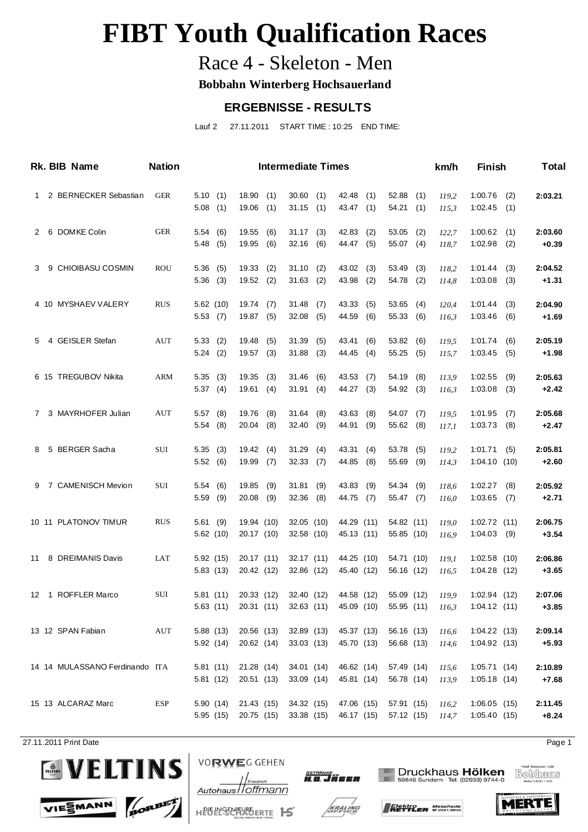### Race 4 - Skeleton - Men

**Bobbahn Winterberg Hochsauerland**

#### **ERGEBNISSE - RESULTS**

Lauf 2 27.11.2011 START TIME : 10:25 END TIME:

|   | Rk. BIB Name                   | <b>Nation</b> |                       |                          |            | <b>Intermediate Times</b>  |            |                          |            |                          |            | km/h           | <b>Finish</b>                  |            | <b>Total</b>       |
|---|--------------------------------|---------------|-----------------------|--------------------------|------------|----------------------------|------------|--------------------------|------------|--------------------------|------------|----------------|--------------------------------|------------|--------------------|
|   | 1 2 BERNECKER Sebastian        | GER           | 5.10(1)<br>$5.08$ (1) | 18.90<br>19.06           | (1)<br>(1) | 30.60(1)<br>$31.15$ (1)    |            | 42.48<br>43.47 (1)       | (1)        | 52.88<br>54.21           | (1)<br>(1) | 119,2<br>115,3 | 1:00.76<br>$1:02.45$ (1)       | (2)        | 2:03.21            |
|   | 2 6 DOMKE Colin                | <b>GER</b>    | 5.54(6)<br>5.48(5)    | 19.55<br>19.95           | (6)<br>(6) | $31.17$ (3)<br>$32.16$ (6) |            | 42.83<br>44.47 (5)       | (2)        | 53.05<br>55.07 (4)       | (2)        | 122,7<br>118,7 | 1:00.62<br>1:02.98             | (1)<br>(2) | 2:03.60<br>$+0.39$ |
| 3 | 9 CHIOIBASU COSMIN             | <b>ROU</b>    | 5.36(5)<br>$5.36$ (3) | 19.33<br>$19.52$ (2)     | (2)        | 31.10<br>$31.63$ (2)       | (2)        | 43.02<br>43.98           | (3)<br>(2) | 53.49<br>54.78 (2)       | (3)        | 118.2<br>114,8 | 1:01.44<br>1:03.08             | (3)<br>(3) | 2:04.52<br>$+1.31$ |
|   | 4 10 MYSHAEV VALERY            | <b>RUS</b>    | 5.62(10)<br>5.53(7)   | 19.74<br>19.87 (5)       | (7)        | 31.48<br>$32.08$ (5)       | (7)        | 43.33<br>44.59           | (5)<br>(6) | 53.65<br>55.33 (6)       | (4)        | 120,4<br>116,3 | 1:01.44<br>1:03.46             | (3)<br>(6) | 2:04.90<br>$+1.69$ |
| 5 | 4 GEISLER Stefan               | <b>AUT</b>    | 5.33(2)<br>5.24(2)    | 19.48<br>19.57           | (5)<br>(3) | 31.39<br>$31.88$ (3)       | (5)        | 43.41<br>44.45           | (6)<br>(4) | 53.82<br>55.25(5)        | (6)        | 119,5<br>115,7 | 1:01.74<br>1:03.45             | (6)<br>(5) | 2:05.19<br>$+1.98$ |
|   | 6 15 TREGUBOV Nikita           | ARM           | 5.35(3)<br>5.37(4)    | 19.35<br>19.61           | (3)<br>(4) | 31.46<br>31.91(4)          | (6)        | 43.53<br>44.27           | (7)<br>(3) | 54.19<br>54.92 (3)       | (8)        | 113,9<br>116,3 | 1:02.55<br>1:03.08             | (9)<br>(3) | 2:05.63<br>$+2.42$ |
|   | 7 3 MAYRHOFER Julian           | AUT           | $5.57$ (8)<br>5.54(8) | 19.76<br>20.04           | (8)<br>(8) | 31.64<br>32.40(9)          | (8)        | 43.63<br>44.91           | (8)<br>(9) | 54.07<br>55.62 (8)       | (7)        | 119,5<br>117,1 | 1:01.95<br>1:03.73             | (7)<br>(8) | 2:05.68<br>$+2.47$ |
|   | 8 5 BERGER Sacha               | SUI           | 5.35(3)<br>5.52(6)    | 19.42<br>19.99           | (4)<br>(7) | 31.29<br>32.33(7)          | (4)        | 43.31<br>44.85           | (4)<br>(8) | 53.78<br>55.69           | (5)<br>(9) | 119,2<br>114,3 | 1:01.71<br>1:04.10(10)         | (5)        | 2:05.81<br>$+2.60$ |
|   | 9 7 CAMENISCH Mevion           | SUI           | 5.54(6)<br>$5.59$ (9) | 19.85<br>20.08           | (9)<br>(9) | 31.81<br>32.36             | (9)<br>(8) | 43.83<br>44.75           | (9)<br>(7) | 54.34<br>55.47 (7)       | (9)        | 118,6<br>116,0 | 1:02.27<br>$1:03.65$ (7)       | (8)        | 2:05.92<br>$+2.71$ |
|   | 10 11 PLATONOV TIMUR           | <b>RUS</b>    | 5.61(9)<br>5.62(10)   | 19.94 (10)<br>20.17 (10) |            | 32.05 (10)<br>32.58 (10)   |            | 44.29 (11)<br>45.13 (11) |            | 54.82 (11)<br>55.85 (10) |            | 119,0<br>116,9 | 1:02.72(11)<br>$1:04.03$ (9)   |            | 2:06.75<br>$+3.54$ |
|   | 11 8 DREIMANIS Davis           | LAT           | 5.92(15)<br>5.83(13)  | 20.17 (11)<br>20.42 (12) |            | 32.17 (11)<br>32.86 (12)   |            | 44.25 (10)<br>45.40 (12) |            | 54.71 (10)<br>56.16 (12) |            | 119,1<br>116,5 | $1:02.58$ (10)<br>1:04.28(12)  |            | 2:06.86<br>$+3.65$ |
|   | 12 1 ROFFLER Marco             | SUI           | 5.81(11)<br>5.63(11)  | 20.33 (12)<br>20.31(11)  |            | 32.40 (12)<br>32.63(11)    |            | 44.58 (12)<br>45.09 (10) |            | 55.09 (12)<br>55.95 (11) |            | 119,9<br>116,3 | 1:02.94(12)<br>1:04.12(11)     |            | 2:07.06<br>$+3.85$ |
|   | 13 12 SPAN Fabian              | AUT           | 5.88(13)<br>5.92(14)  | 20.56 (13)<br>20.62 (14) |            | 32.89 (13)<br>33.03 (13)   |            | 45.37 (13)<br>45.70 (13) |            | 56.16 (13)<br>56.68 (13) |            | 116,6<br>114,6 | $1:04.22$ (13)<br>1:04.92 (13) |            | 2:09.14<br>$+5.93$ |
|   | 14 14 MULASSANO Ferdinando ITA |               | 5.81(11)<br>5.81(12)  | 21.28 (14)<br>20.51 (13) |            | 34.01 (14)<br>33.09 (14)   |            | 46.62 (14)<br>45.81 (14) |            | 57.49 (14)<br>56.78 (14) |            | 115,6<br>113,9 | 1:05.71(14)<br>1:05.18(14)     |            | 2:10.89<br>$+7.68$ |
|   | 15 13 ALCARAZ Marc             | ESP           | 5.90(14)<br>5.95 (15) | 21.43 (15)<br>20.75 (15) |            | 34.32 (15)<br>33.38 (15)   |            | 47.06 (15)<br>46.17 (15) |            | 57.91 (15)<br>57.12 (15) |            | 116,2<br>114,7 | 1:06.05(15)<br>1:05.40(15)     |            | 2:11.45<br>$+8.24$ |

27.11.2011 Print Date Page 1



VIESMANN



Autohaus / Offmann



Druckhaus Hölken<br>59846 Sundern · Tel. (02933) 9744-0

Bobhaus







HEUELSEE 15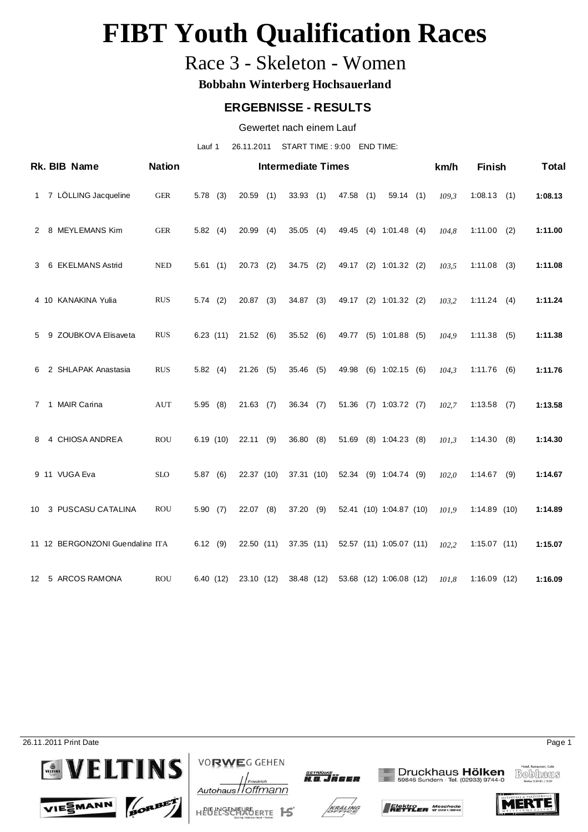### Race 3 - Skeleton - Women

**Bobbahn Winterberg Hochsauerland**

#### **ERGEBNISSE - RESULTS**

Gewertet nach einem Lauf

Lauf 1 26.11.2011 START TIME : 9:00 END TIME:

|             | Rk. BIB Name                    | <b>Nation</b> |            |             |     | <b>Intermediate Times</b> |     |       |     |                         | km/h  | <b>Finish</b>  |     | <b>Total</b> |
|-------------|---------------------------------|---------------|------------|-------------|-----|---------------------------|-----|-------|-----|-------------------------|-------|----------------|-----|--------------|
| 1           | 7 LÖLLING Jacqueline            | <b>GER</b>    | $5.78$ (3) | 20.59       | (1) | 33.93(1)                  |     | 47.58 | (1) | 59.14(1)                | 109,3 | 1:08.13        | (1) | 1:08.13      |
| 2           | 8 MEYLEMANS Kim                 | <b>GER</b>    | 5.82(4)    | 20.99       | (4) | $35.05$ (4)               |     | 49.45 |     | $(4)$ 1:01.48 $(4)$     | 104,8 | 1:11.00        | (2) | 1:11.00      |
| 3           | 6 EKELMANS Astrid               | <b>NED</b>    | 5.61(1)    | 20.73       | (2) | $34.75$ (2)               |     | 49.17 |     | $(2)$ 1:01.32 $(2)$     | 103,5 | 1:11.08        | (3) | 1:11.08      |
|             | 4 10 KANAKINA Yulia             | <b>RUS</b>    | $5.74$ (2) | 20.87       | (3) | $34.87$ (3)               |     | 49.17 |     | $(2)$ 1:01.32 $(2)$     | 103,2 | 1:11.24        | (4) | 1:11.24      |
| 5           | 9 ZOUBKOVA Elisaveta            | <b>RUS</b>    | 6.23(11)   | 21.52(6)    |     | 35.52 (6)                 |     | 49.77 |     | $(5)$ 1:01.88 $(5)$     | 104,9 | 1:11.38        | (5) | 1:11.38      |
| 6           | 2 SHLAPAK Anastasia             | <b>RUS</b>    | 5.82(4)    | 21.26       | (5) | $35.46$ (5)               |     | 49.98 |     | $(6)$ 1:02.15 $(6)$     | 104,3 | 1:11.76        | (6) | 1:11.76      |
| $7^{\circ}$ | 1 MAIR Carina                   | AUT           | 5.95(8)    | $21.63$ (7) |     | 36.34(7)                  |     | 51.36 |     | $(7)$ 1:03.72 $(7)$     | 102,7 | 1:13.58        | (7) | 1:13.58      |
| 8           | 4 CHIOSA ANDREA                 | <b>ROU</b>    | 6.19(10)   | $22.11$ (9) |     | 36.80                     | (8) | 51.69 |     | $(8)$ 1:04.23 $(8)$     | 101.3 | 1:14.30        | (8) | 1:14.30      |
|             | 9 11 VUGA Eva                   | <b>SLO</b>    | 5.87(6)    | 22.37 (10)  |     | 37.31 (10)                |     |       |     | 52.34 (9) 1:04.74 (9)   | 102,0 | 1:14.67        | (9) | 1:14.67      |
| 10          | 3 PUSCASU CATALINA              | <b>ROU</b>    | 5.90(7)    | 22.07       | (8) | 37.20(9)                  |     |       |     | 52.41 (10) 1:04.87 (10) | 101.9 | 1:14.89(10)    |     | 1:14.89      |
|             | 11 12 BERGONZONI Guendalina ITA |               | $6.12$ (9) | 22.50 (11)  |     | 37.35(11)                 |     |       |     | 52.57 (11) 1:05.07 (11) | 102,2 | $1:15.07$ (11) |     | 1:15.07      |
|             | 12 5 ARCOS RAMONA               | <b>ROU</b>    | 6.40(12)   | 23.10 (12)  |     | 38.48 (12)                |     |       |     | 53.68 (12) 1:06.08 (12) | 101,8 | 1:16.09(12)    |     | 1:16.09      |

26.11.2011 Print Date Page 1